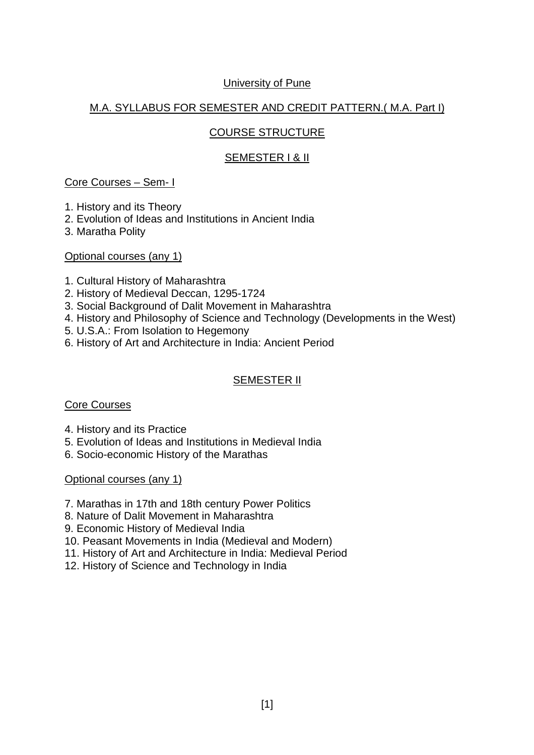# University of Pune

# M.A. SYLLABUS FOR SEMESTER AND CREDIT PATTERN.( M.A. Part I)

# COURSE STRUCTURE

# SEMESTER 1 & II

# Core Courses – Sem- I

1. History and its Theory

2. Evolution of Ideas and Institutions in Ancient India

3. Maratha Polity

### Optional courses (any 1)

- 1. Cultural History of Maharashtra
- 2. History of Medieval Deccan, 1295-1724
- 3. Social Background of Dalit Movement in Maharashtra
- 4. History and Philosophy of Science and Technology (Developments in the West)
- 5. U.S.A.: From Isolation to Hegemony
- 6. History of Art and Architecture in India: Ancient Period

# SEMESTER II

# Core Courses

- 4. History and its Practice
- 5. Evolution of Ideas and Institutions in Medieval India
- 6. Socio-economic History of the Marathas

Optional courses (any 1)

- 7. Marathas in 17th and 18th century Power Politics
- 8. Nature of Dalit Movement in Maharashtra
- 9. Economic History of Medieval India
- 10. Peasant Movements in India (Medieval and Modern)
- 11. History of Art and Architecture in India: Medieval Period
- 12. History of Science and Technology in India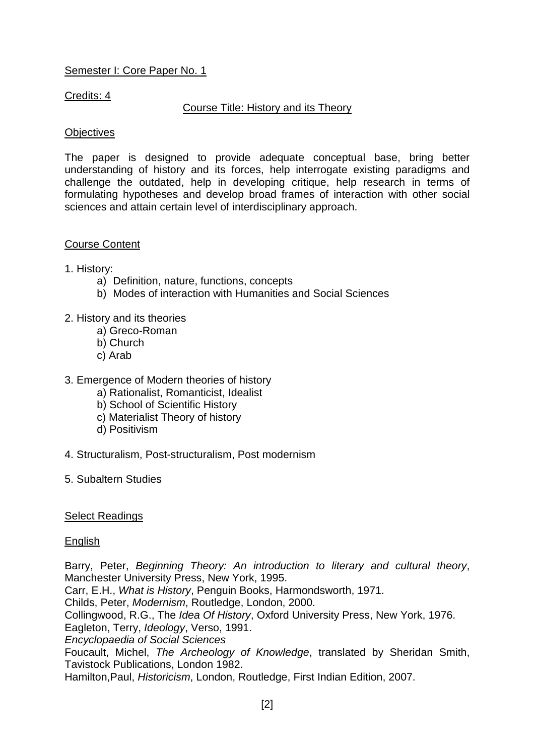# Semester I: Core Paper No. 1

Credits: 4

### Course Title: History and its Theory

#### **Objectives**

The paper is designed to provide adequate conceptual base, bring better understanding of history and its forces, help interrogate existing paradigms and challenge the outdated, help in developing critique, help research in terms of formulating hypotheses and develop broad frames of interaction with other social sciences and attain certain level of interdisciplinary approach.

### Course Content

- 1. History:
	- a) Definition, nature, functions, concepts
	- b) Modes of interaction with Humanities and Social Sciences
- 2. History and its theories
	- a) Greco-Roman
	- b) Church
	- c) Arab
- 3. Emergence of Modern theories of history
	- a) Rationalist, Romanticist, Idealist
	- b) School of Scientific History
	- c) Materialist Theory of history
	- d) Positivism
- 4. Structuralism, Post-structuralism, Post modernism
- 5. Subaltern Studies

#### Select Readings

English

Barry, Peter, Beginning Theory: An introduction to literary and cultural theory, Manchester University Press, New York, 1995.

Carr, E.H., What is History, Penguin Books, Harmondsworth, 1971.

Childs, Peter, Modernism, Routledge, London, 2000.

Collingwood, R.G., The Idea Of History, Oxford University Press, New York, 1976.

Eagleton, Terry, Ideology, Verso, 1991.

Encyclopaedia of Social Sciences

Foucault, Michel, The Archeology of Knowledge, translated by Sheridan Smith, Tavistock Publications, London 1982.

Hamilton,Paul, Historicism, London, Routledge, First Indian Edition, 2007.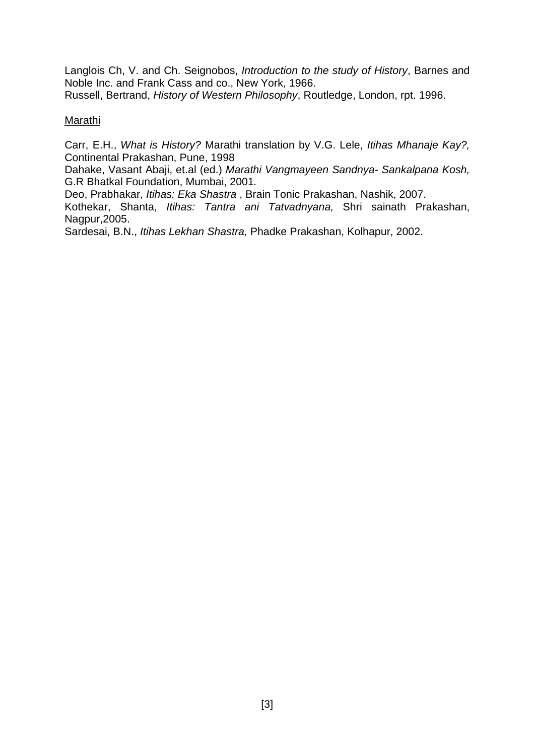Langlois Ch, V. and Ch. Seignobos, Introduction to the study of History, Barnes and Noble Inc. and Frank Cass and co., New York, 1966. Russell, Bertrand, History of Western Philosophy, Routledge, London, rpt. 1996.

### Marathi

Carr, E.H., What is History? Marathi translation by V.G. Lele, Itihas Mhanaje Kay?, Continental Prakashan, Pune, 1998

Dahake, Vasant Abaji, et.al (ed.) Marathi Vangmayeen Sandnya- Sankalpana Kosh, G.R Bhatkal Foundation, Mumbai, 2001.

Deo, Prabhakar, Itihas: Eka Shastra , Brain Tonic Prakashan, Nashik, 2007.

Kothekar, Shanta, Itihas: Tantra ani Tatvadnyana, Shri sainath Prakashan, Nagpur,2005.

Sardesai, B.N., Itihas Lekhan Shastra, Phadke Prakashan, Kolhapur, 2002.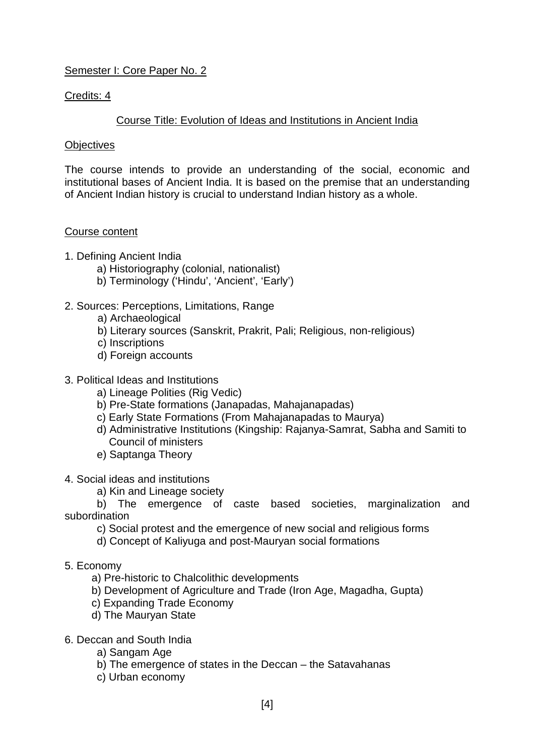# Semester I: Core Paper No. 2

## Credits: 4

# Course Title: Evolution of Ideas and Institutions in Ancient India

## **Objectives**

The course intends to provide an understanding of the social, economic and institutional bases of Ancient India. It is based on the premise that an understanding of Ancient Indian history is crucial to understand Indian history as a whole.

# Course content

- 1. Defining Ancient India
	- a) Historiography (colonial, nationalist)
	- b) Terminology ('Hindu', 'Ancient', 'Early')
- 2. Sources: Perceptions, Limitations, Range
	- a) Archaeological
	- b) Literary sources (Sanskrit, Prakrit, Pali; Religious, non-religious)
	- c) Inscriptions
	- d) Foreign accounts
- 3. Political Ideas and Institutions
	- a) Lineage Polities (Rig Vedic)
	- b) Pre-State formations (Janapadas, Mahajanapadas)
	- c) Early State Formations (From Mahajanapadas to Maurya)
	- d) Administrative Institutions (Kingship: Rajanya-Samrat, Sabha and Samiti to Council of ministers
	- e) Saptanga Theory
- 4. Social ideas and institutions
	- a) Kin and Lineage society

 b) The emergence of caste based societies, marginalization and subordination

- c) Social protest and the emergence of new social and religious forms
- d) Concept of Kaliyuga and post-Mauryan social formations
- 5. Economy
	- a) Pre-historic to Chalcolithic developments
	- b) Development of Agriculture and Trade (Iron Age, Magadha, Gupta)
	- c) Expanding Trade Economy
	- d) The Mauryan State
- 6. Deccan and South India
	- a) Sangam Age
	- b) The emergence of states in the Deccan the Satavahanas
	- c) Urban economy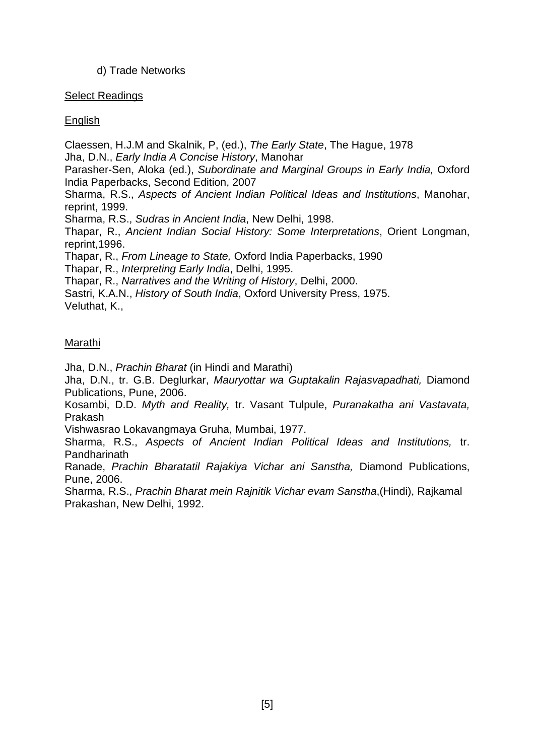# d) Trade Networks

## Select Readings

# English

Claessen, H.J.M and Skalnik, P, (ed.), The Early State, The Hague, 1978 Jha, D.N., Early India A Concise History, Manohar

Parasher-Sen, Aloka (ed.), Subordinate and Marginal Groups in Early India, Oxford India Paperbacks, Second Edition, 2007

Sharma, R.S., Aspects of Ancient Indian Political Ideas and Institutions, Manohar, reprint, 1999.

Sharma, R.S., Sudras in Ancient India, New Delhi, 1998.

Thapar, R., Ancient Indian Social History: Some Interpretations, Orient Longman, reprint,1996.

Thapar, R., From Lineage to State, Oxford India Paperbacks, 1990

Thapar, R., Interpreting Early India, Delhi, 1995.

Thapar, R., Narratives and the Writing of History, Delhi, 2000.

Sastri, K.A.N., History of South India, Oxford University Press, 1975. Veluthat, K.,

# **Marathi**

Jha, D.N., Prachin Bharat (in Hindi and Marathi)

Jha, D.N., tr. G.B. Deglurkar, Mauryottar wa Guptakalin Rajasvapadhati, Diamond Publications, Pune, 2006.

Kosambi, D.D. Myth and Reality, tr. Vasant Tulpule, Puranakatha ani Vastavata, Prakash

Vishwasrao Lokavangmaya Gruha, Mumbai, 1977.

Sharma, R.S., Aspects of Ancient Indian Political Ideas and Institutions, tr. Pandharinath

Ranade, Prachin Bharatatil Rajakiya Vichar ani Sanstha, Diamond Publications, Pune, 2006.

Sharma, R.S., Prachin Bharat mein Rajnitik Vichar evam Sanstha,(Hindi), Rajkamal Prakashan, New Delhi, 1992.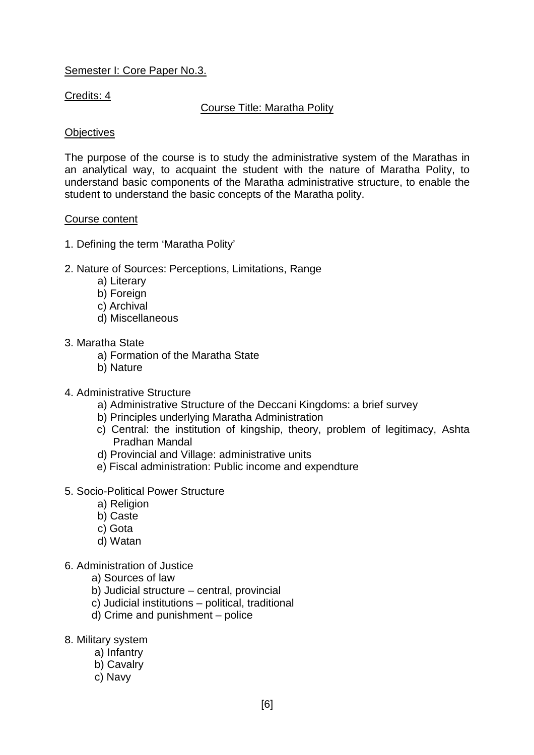# Semester I: Core Paper No.3.

Credits: 4

## Course Title: Maratha Polity

### **Objectives**

The purpose of the course is to study the administrative system of the Marathas in an analytical way, to acquaint the student with the nature of Maratha Polity, to understand basic components of the Maratha administrative structure, to enable the student to understand the basic concepts of the Maratha polity.

#### Course content

- 1. Defining the term 'Maratha Polity'
- 2. Nature of Sources: Perceptions, Limitations, Range
	- a) Literary
	- b) Foreign
	- c) Archival
	- d) Miscellaneous
- 3. Maratha State
	- a) Formation of the Maratha State
	- b) Nature
- 4. Administrative Structure
	- a) Administrative Structure of the Deccani Kingdoms: a brief survey
	- b) Principles underlying Maratha Administration
	- c) Central: the institution of kingship, theory, problem of legitimacy, Ashta Pradhan Mandal
	- d) Provincial and Village: administrative units
	- e) Fiscal administration: Public income and expendture
- 5. Socio-Political Power Structure
	- a) Religion
	- b) Caste
	- c) Gota
	- d) Watan
- 6. Administration of Justice
	- a) Sources of law
	- b) Judicial structure central, provincial
	- c) Judicial institutions political, traditional
	- d) Crime and punishment police
- 8. Military system
	- a) Infantry
	- b) Cavalry
	- c) Navy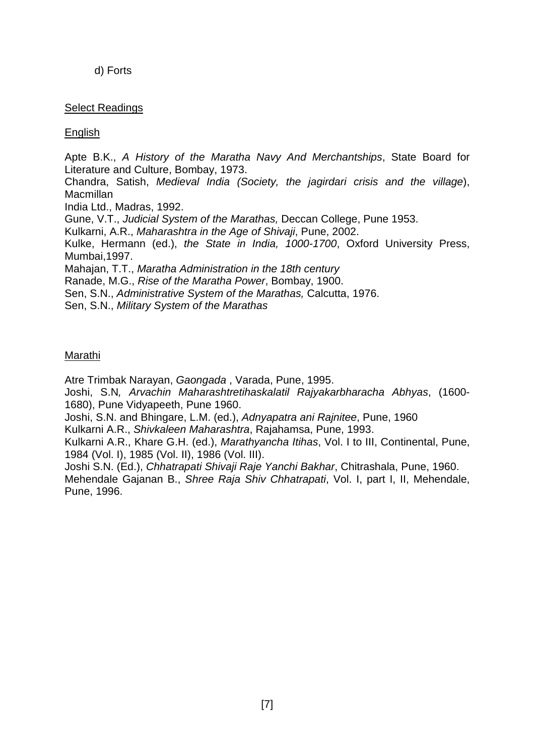# d) Forts

## **Select Readings**

# English

Apte B.K., A History of the Maratha Navy And Merchantships, State Board for Literature and Culture, Bombay, 1973. Chandra, Satish, Medieval India (Society, the jagirdari crisis and the village), **Macmillan** India Ltd., Madras, 1992. Gune, V.T., Judicial System of the Marathas, Deccan College, Pune 1953. Kulkarni, A.R., Maharashtra in the Age of Shivaji, Pune, 2002. Kulke, Hermann (ed.), the State in India, 1000-1700, Oxford University Press, Mumbai,1997. Mahajan, T.T., Maratha Administration in the 18th century Ranade, M.G., Rise of the Maratha Power, Bombay, 1900. Sen, S.N., Administrative System of the Marathas, Calcutta, 1976.

Sen, S.N., Military System of the Marathas

# Marathi

Atre Trimbak Narayan, Gaongada , Varada, Pune, 1995.

Joshi, S.N, Arvachin Maharashtretihaskalatil Rajyakarbharacha Abhyas, (1600- 1680), Pune Vidyapeeth, Pune 1960.

Joshi, S.N. and Bhingare, L.M. (ed.), Adnyapatra ani Rajnitee, Pune, 1960

Kulkarni A.R., Shivkaleen Maharashtra, Rajahamsa, Pune, 1993.

Kulkarni A.R., Khare G.H. (ed.), Marathyancha Itihas, Vol. I to III, Continental, Pune, 1984 (Vol. I), 1985 (Vol. II), 1986 (Vol. III).

Joshi S.N. (Ed.), Chhatrapati Shivaji Raje Yanchi Bakhar, Chitrashala, Pune, 1960. Mehendale Gajanan B., Shree Raja Shiv Chhatrapati, Vol. I, part I, II, Mehendale, Pune, 1996.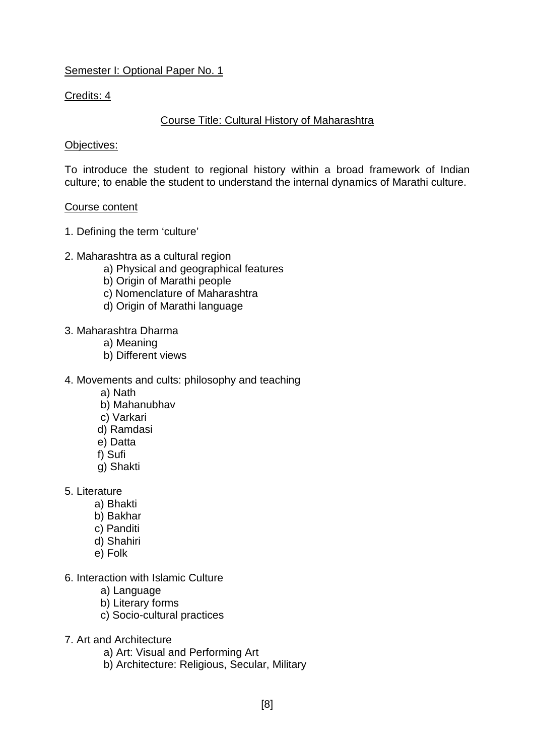# Semester I: Optional Paper No. 1

Credits: 4

# Course Title: Cultural History of Maharashtra

#### Objectives:

To introduce the student to regional history within a broad framework of Indian culture; to enable the student to understand the internal dynamics of Marathi culture.

#### Course content

- 1. Defining the term 'culture'
- 2. Maharashtra as a cultural region
	- a) Physical and geographical features
	- b) Origin of Marathi people
	- c) Nomenclature of Maharashtra
	- d) Origin of Marathi language
- 3. Maharashtra Dharma
	- a) Meaning
	- b) Different views
- 4. Movements and cults: philosophy and teaching
	- a) Nath
	- b) Mahanubhav
	- c) Varkari
	- d) Ramdasi
	- e) Datta
	- f) Sufi
	- g) Shakti
- 5. Literature
	- a) Bhakti
	- b) Bakhar
	- c) Panditi
	- d) Shahiri
	- e) Folk
- 6. Interaction with Islamic Culture
	- a) Language
	- b) Literary forms
	- c) Socio-cultural practices
- 7. Art and Architecture
	- a) Art: Visual and Performing Art
	- b) Architecture: Religious, Secular, Military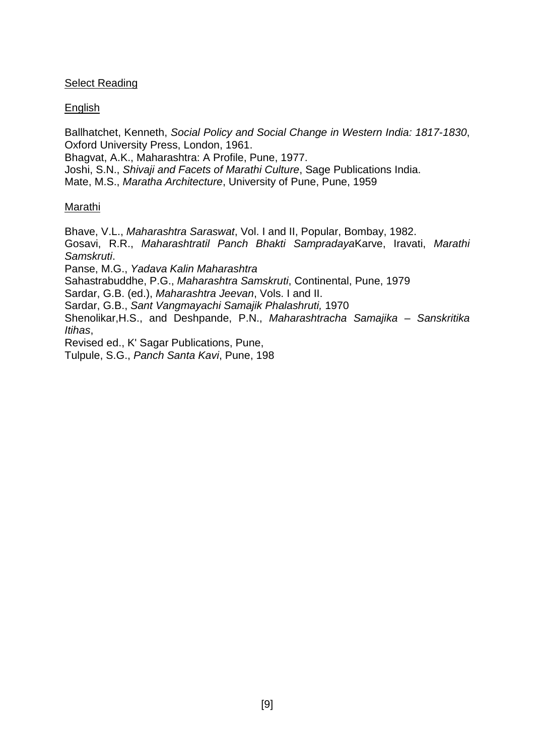# **Select Reading**

**English** 

Ballhatchet, Kenneth, Social Policy and Social Change in Western India: 1817-1830, Oxford University Press, London, 1961.

Bhagvat, A.K., Maharashtra: A Profile, Pune, 1977.

Joshi, S.N., Shivaji and Facets of Marathi Culture, Sage Publications India.

Mate, M.S., Maratha Architecture, University of Pune, Pune, 1959

# Marathi

Bhave, V.L., Maharashtra Saraswat, Vol. I and II, Popular, Bombay, 1982. Gosavi, R.R., Maharashtratil Panch Bhakti SampradayaKarve, Iravati, Marathi Samskruti. Panse, M.G., Yadava Kalin Maharashtra

Sahastrabuddhe, P.G., Maharashtra Samskruti, Continental, Pune, 1979

Sardar, G.B. (ed.), Maharashtra Jeevan, Vols. I and II.

Sardar, G.B., Sant Vangmayachi Samajik Phalashruti, 1970

Shenolikar, H.S., and Deshpande, P.N., Maharashtracha Samajika - Sanskritika Itihas,

Revised ed., K' Sagar Publications, Pune,

Tulpule, S.G., Panch Santa Kavi, Pune, 198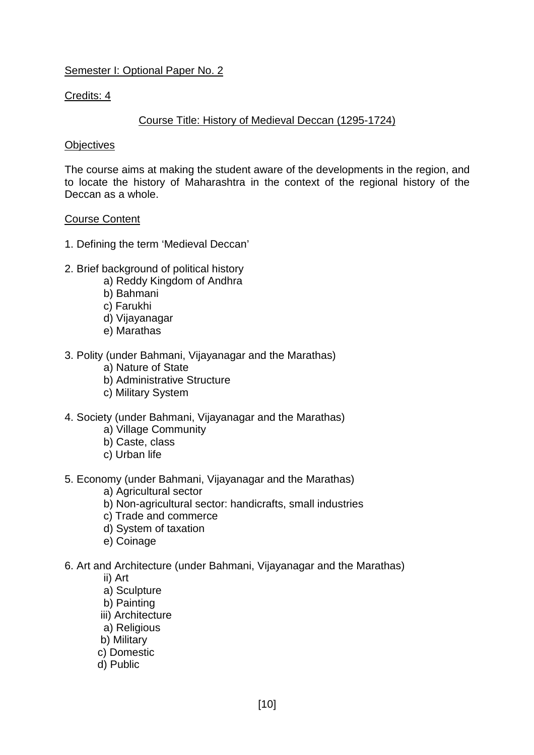# Semester I: Optional Paper No. 2

Credits: 4

# Course Title: History of Medieval Deccan (1295-1724)

#### **Objectives**

The course aims at making the student aware of the developments in the region, and to locate the history of Maharashtra in the context of the regional history of the Deccan as a whole.

#### Course Content

- 1. Defining the term 'Medieval Deccan'
- 2. Brief background of political history
	- a) Reddy Kingdom of Andhra
	- b) Bahmani
	- c) Farukhi
	- d) Vijayanagar
	- e) Marathas
- 3. Polity (under Bahmani, Vijayanagar and the Marathas)
	- a) Nature of State
	- b) Administrative Structure
	- c) Military System
- 4. Society (under Bahmani, Vijayanagar and the Marathas)
	- a) Village Community
	- b) Caste, class
	- c) Urban life
- 5. Economy (under Bahmani, Vijayanagar and the Marathas)
	- a) Agricultural sector
	- b) Non-agricultural sector: handicrafts, small industries
	- c) Trade and commerce
	- d) System of taxation
	- e) Coinage
- 6. Art and Architecture (under Bahmani, Vijayanagar and the Marathas)
	- ii) Art
	- a) Sculpture
	- b) Painting
	- iii) Architecture
	- a) Religious
	- b) Military
	- c) Domestic
	- d) Public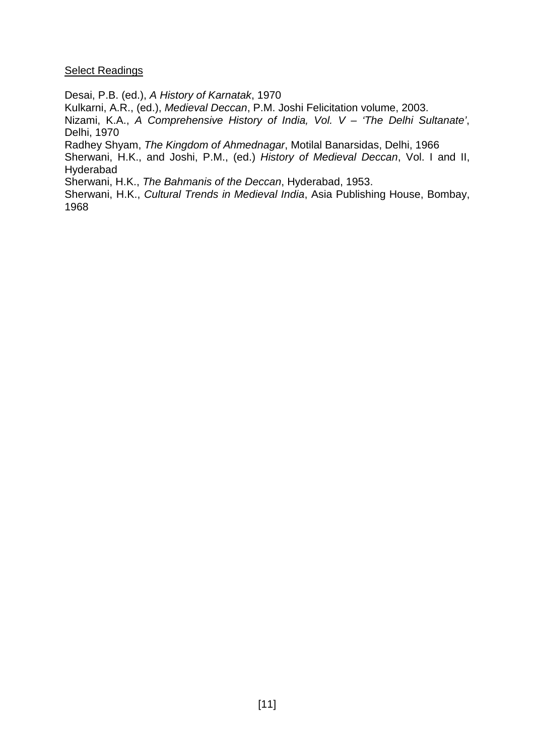## **Select Readings**

Desai, P.B. (ed.), A History of Karnatak, 1970

Kulkarni, A.R., (ed.), Medieval Deccan, P.M. Joshi Felicitation volume, 2003.

Nizami, K.A., A Comprehensive History of India, Vol. V – 'The Delhi Sultanate', Delhi, 1970

Radhey Shyam, The Kingdom of Ahmednagar, Motilal Banarsidas, Delhi, 1966

Sherwani, H.K., and Joshi, P.M., (ed.) History of Medieval Deccan, Vol. I and II, Hyderabad

Sherwani, H.K., The Bahmanis of the Deccan, Hyderabad, 1953.

Sherwani, H.K., Cultural Trends in Medieval India, Asia Publishing House, Bombay, 1968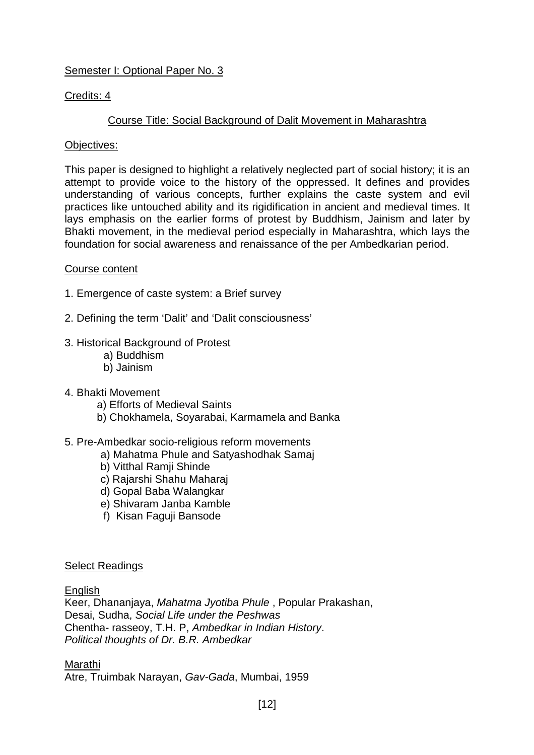# Semester I: Optional Paper No. 3

## Credits: 4

# Course Title: Social Background of Dalit Movement in Maharashtra

## Objectives:

This paper is designed to highlight a relatively neglected part of social history; it is an attempt to provide voice to the history of the oppressed. It defines and provides understanding of various concepts, further explains the caste system and evil practices like untouched ability and its rigidification in ancient and medieval times. It lays emphasis on the earlier forms of protest by Buddhism, Jainism and later by Bhakti movement, in the medieval period especially in Maharashtra, which lays the foundation for social awareness and renaissance of the per Ambedkarian period.

### Course content

- 1. Emergence of caste system: a Brief survey
- 2. Defining the term 'Dalit' and 'Dalit consciousness'
- 3. Historical Background of Protest
	- a) Buddhism
	- b) Jainism
- 4. Bhakti Movement
	- a) Efforts of Medieval Saints
	- b) Chokhamela, Soyarabai, Karmamela and Banka

### 5. Pre-Ambedkar socio-religious reform movements

- a) Mahatma Phule and Satyashodhak Samaj
- b) Vitthal Ramji Shinde
- c) Rajarshi Shahu Maharaj
- d) Gopal Baba Walangkar
- e) Shivaram Janba Kamble
- f) Kisan Faguji Bansode

### Select Readings

#### English

Keer, Dhananjaya, Mahatma Jyotiba Phule , Popular Prakashan, Desai, Sudha, Social Life under the Peshwas Chentha- rasseoy, T.H. P, Ambedkar in Indian History. Political thoughts of Dr. B.R. Ambedkar

Marathi

Atre, Truimbak Narayan, Gav-Gada, Mumbai, 1959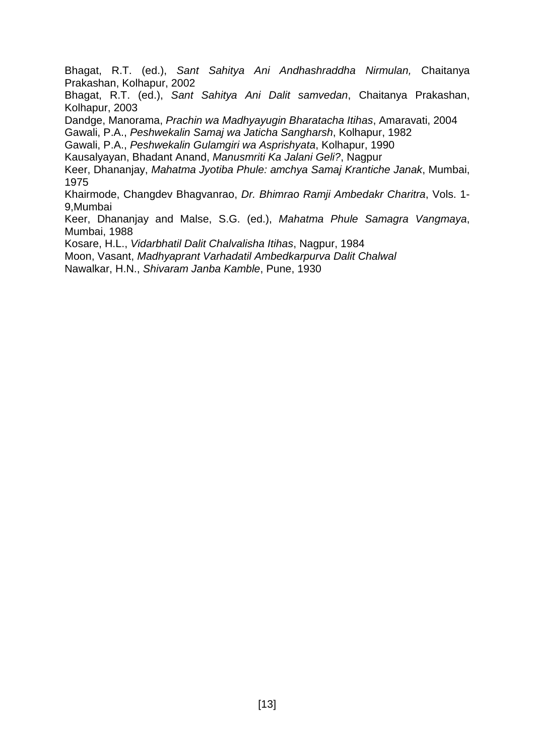Bhagat, R.T. (ed.), Sant Sahitya Ani Andhashraddha Nirmulan, Chaitanya Prakashan, Kolhapur, 2002

Bhagat, R.T. (ed.), Sant Sahitya Ani Dalit samvedan, Chaitanya Prakashan, Kolhapur, 2003

Dandge, Manorama, Prachin wa Madhyayugin Bharatacha Itihas, Amaravati, 2004

Gawali, P.A., Peshwekalin Samaj wa Jaticha Sangharsh, Kolhapur, 1982

Gawali, P.A., Peshwekalin Gulamgiri wa Asprishyata, Kolhapur, 1990

Kausalyayan, Bhadant Anand, Manusmriti Ka Jalani Geli?, Nagpur

Keer, Dhananjay, Mahatma Jyotiba Phule: amchya Samaj Krantiche Janak, Mumbai, 1975

Khairmode, Changdev Bhagvanrao, Dr. Bhimrao Ramji Ambedakr Charitra, Vols. 1- 9,Mumbai

Keer, Dhananjay and Malse, S.G. (ed.), Mahatma Phule Samagra Vangmaya, Mumbai, 1988

Kosare, H.L., Vidarbhatil Dalit Chalvalisha Itihas, Nagpur, 1984

Moon, Vasant, Madhyaprant Varhadatil Ambedkarpurva Dalit Chalwal

Nawalkar, H.N., Shivaram Janba Kamble, Pune, 1930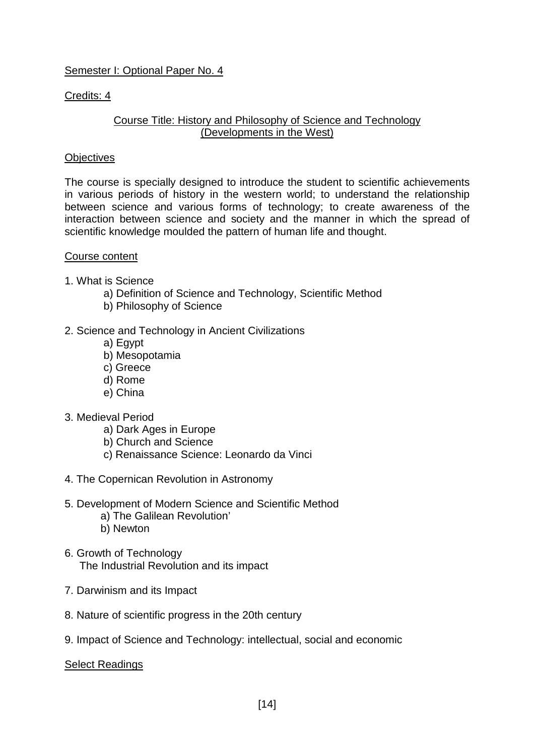# Semester I: Optional Paper No. 4

# Credits: 4

# Course Title: History and Philosophy of Science and Technology (Developments in the West)

## **Objectives**

The course is specially designed to introduce the student to scientific achievements in various periods of history in the western world; to understand the relationship between science and various forms of technology; to create awareness of the interaction between science and society and the manner in which the spread of scientific knowledge moulded the pattern of human life and thought.

# Course content

- 1. What is Science
	- a) Definition of Science and Technology, Scientific Method
	- b) Philosophy of Science

# 2. Science and Technology in Ancient Civilizations

- a) Egypt
- b) Mesopotamia
- c) Greece
- d) Rome
- e) China
- 3. Medieval Period
	- a) Dark Ages in Europe
	- b) Church and Science
	- c) Renaissance Science: Leonardo da Vinci
- 4. The Copernican Revolution in Astronomy
- 5. Development of Modern Science and Scientific Method
	- a) The Galilean Revolution'
	- b) Newton
- 6. Growth of Technology The Industrial Revolution and its impact
- 7. Darwinism and its Impact
- 8. Nature of scientific progress in the 20th century
- 9. Impact of Science and Technology: intellectual, social and economic

Select Readings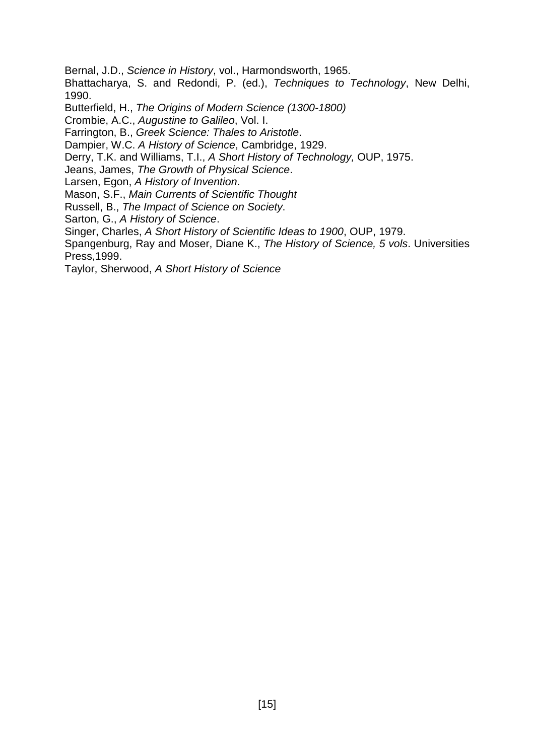Bernal, J.D., Science in History, vol., Harmondsworth, 1965.

Bhattacharya, S. and Redondi, P. (ed.), Techniques to Technology, New Delhi, 1990.

Butterfield, H., The Origins of Modern Science (1300-1800)

Crombie, A.C., Augustine to Galileo, Vol. I.

Farrington, B., Greek Science: Thales to Aristotle.

Dampier, W.C. A History of Science, Cambridge, 1929.

Derry, T.K. and Williams, T.I., A Short History of Technology, OUP, 1975.

Jeans, James, The Growth of Physical Science.

Larsen, Egon, A History of Invention.

Mason, S.F., Main Currents of Scientific Thought

Russell, B., The Impact of Science on Society.

Sarton, G., A History of Science.

Singer, Charles, A Short History of Scientific Ideas to 1900, OUP, 1979.

Spangenburg, Ray and Moser, Diane K., The History of Science, 5 vols. Universities Press,1999.

Taylor, Sherwood, A Short History of Science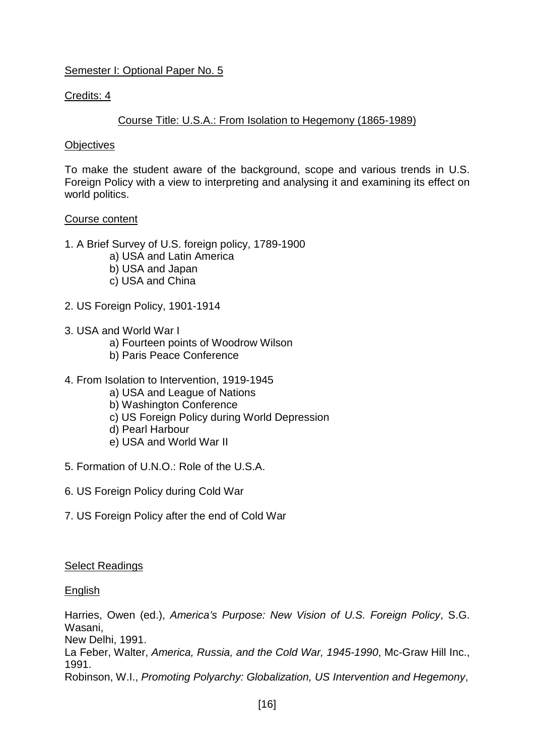# Semester I: Optional Paper No. 5

### Credits: 4

# Course Title: U.S.A.: From Isolation to Hegemony (1865-1989)

### **Objectives**

To make the student aware of the background, scope and various trends in U.S. Foreign Policy with a view to interpreting and analysing it and examining its effect on world politics.

### Course content

- 1. A Brief Survey of U.S. foreign policy, 1789-1900
	- a) USA and Latin America
	- b) USA and Japan
	- c) USA and China
- 2. US Foreign Policy, 1901-1914
- 3. USA and World War I
	- a) Fourteen points of Woodrow Wilson
	- b) Paris Peace Conference
- 4. From Isolation to Intervention, 1919-1945
	- a) USA and League of Nations
	- b) Washington Conference
	- c) US Foreign Policy during World Depression
	- d) Pearl Harbour
	- e) USA and World War II
- 5. Formation of U.N.O.: Role of the U.S.A.
- 6. US Foreign Policy during Cold War
- 7. US Foreign Policy after the end of Cold War

### Select Readings

### English

Harries, Owen (ed.), America's Purpose: New Vision of U.S. Foreign Policy, S.G. Wasani,

New Delhi, 1991.

La Feber, Walter, America, Russia, and the Cold War, 1945-1990, Mc-Graw Hill Inc., 1991.

Robinson, W.I., Promoting Polyarchy: Globalization, US Intervention and Hegemony,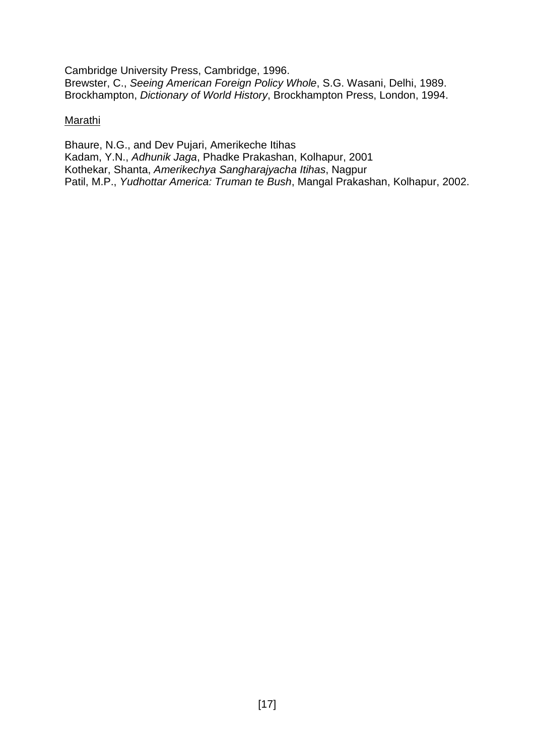Cambridge University Press, Cambridge, 1996. Brewster, C., Seeing American Foreign Policy Whole, S.G. Wasani, Delhi, 1989. Brockhampton, Dictionary of World History, Brockhampton Press, London, 1994.

#### Marathi

Bhaure, N.G., and Dev Pujari, Amerikeche Itihas Kadam, Y.N., Adhunik Jaga, Phadke Prakashan, Kolhapur, 2001 Kothekar, Shanta, Amerikechya Sangharajyacha Itihas, Nagpur Patil, M.P., Yudhottar America: Truman te Bush, Mangal Prakashan, Kolhapur, 2002.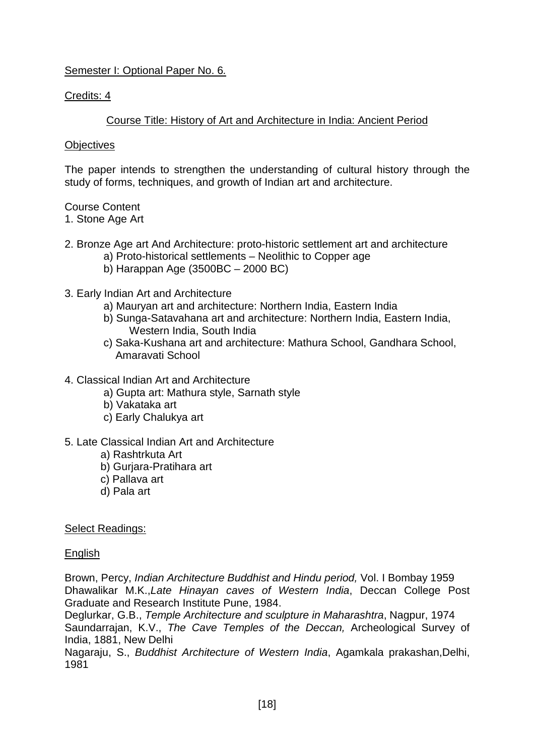# Semester I: Optional Paper No. 6.

Credits: 4

# Course Title: History of Art and Architecture in India: Ancient Period

### **Objectives**

The paper intends to strengthen the understanding of cultural history through the study of forms, techniques, and growth of Indian art and architecture.

# Course Content

- 1. Stone Age Art
- 2. Bronze Age art And Architecture: proto-historic settlement art and architecture
	- a) Proto-historical settlements Neolithic to Copper age
	- b) Harappan Age (3500BC 2000 BC)

### 3. Early Indian Art and Architecture

- a) Mauryan art and architecture: Northern India, Eastern India
- b) Sunga-Satavahana art and architecture: Northern India, Eastern India, Western India, South India
- c) Saka-Kushana art and architecture: Mathura School, Gandhara School, Amaravati School
- 4. Classical Indian Art and Architecture
	- a) Gupta art: Mathura style, Sarnath style
	- b) Vakataka art
	- c) Early Chalukya art
- 5. Late Classical Indian Art and Architecture
	- a) Rashtrkuta Art
	- b) Gurjara-Pratihara art
	- c) Pallava art
	- d) Pala art

### Select Readings:

### English

Brown, Percy, Indian Architecture Buddhist and Hindu period, Vol. I Bombay 1959 Dhawalikar M.K.,Late Hinayan caves of Western India, Deccan College Post Graduate and Research Institute Pune, 1984.

Deglurkar, G.B., Temple Architecture and sculpture in Maharashtra, Nagpur, 1974 Saundarrajan, K.V., The Cave Temples of the Deccan, Archeological Survey of India, 1881, New Delhi

Nagaraju, S., Buddhist Architecture of Western India, Agamkala prakashan,Delhi, 1981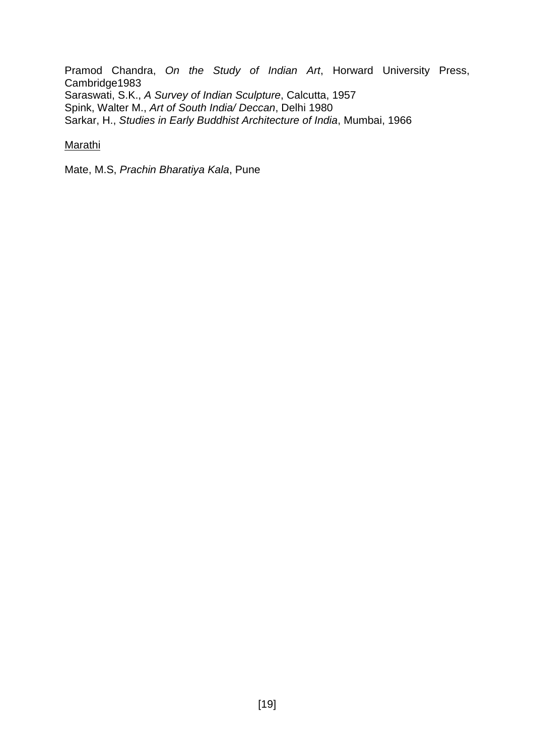Pramod Chandra, On the Study of Indian Art, Horward University Press, Cambridge1983 Saraswati, S.K., A Survey of Indian Sculpture, Calcutta, 1957 Spink, Walter M., Art of South India/ Deccan, Delhi 1980 Sarkar, H., Studies in Early Buddhist Architecture of India, Mumbai, 1966

# **Marathi**

Mate, M.S, Prachin Bharatiya Kala, Pune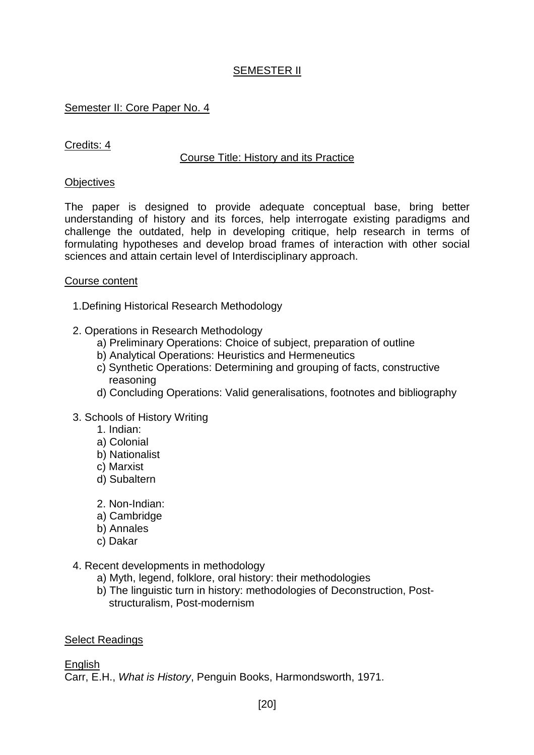# SEMESTER II

# Semester II: Core Paper No. 4

## Credits: 4

### Course Title: History and its Practice

#### **Objectives**

The paper is designed to provide adequate conceptual base, bring better understanding of history and its forces, help interrogate existing paradigms and challenge the outdated, help in developing critique, help research in terms of formulating hypotheses and develop broad frames of interaction with other social sciences and attain certain level of Interdisciplinary approach.

#### Course content

- 1.Defining Historical Research Methodology
- 2. Operations in Research Methodology
	- a) Preliminary Operations: Choice of subject, preparation of outline
	- b) Analytical Operations: Heuristics and Hermeneutics
	- c) Synthetic Operations: Determining and grouping of facts, constructive reasoning
	- d) Concluding Operations: Valid generalisations, footnotes and bibliography

### 3. Schools of History Writing

- 1. Indian:
- a) Colonial
- b) Nationalist
- c) Marxist
- d) Subaltern
- 2. Non-Indian:
- a) Cambridge
- b) Annales
- c) Dakar
- 4. Recent developments in methodology
	- a) Myth, legend, folklore, oral history: their methodologies
	- b) The linguistic turn in history: methodologies of Deconstruction, Post structuralism, Post-modernism

### Select Readings

### English

Carr, E.H., What is History, Penguin Books, Harmondsworth, 1971.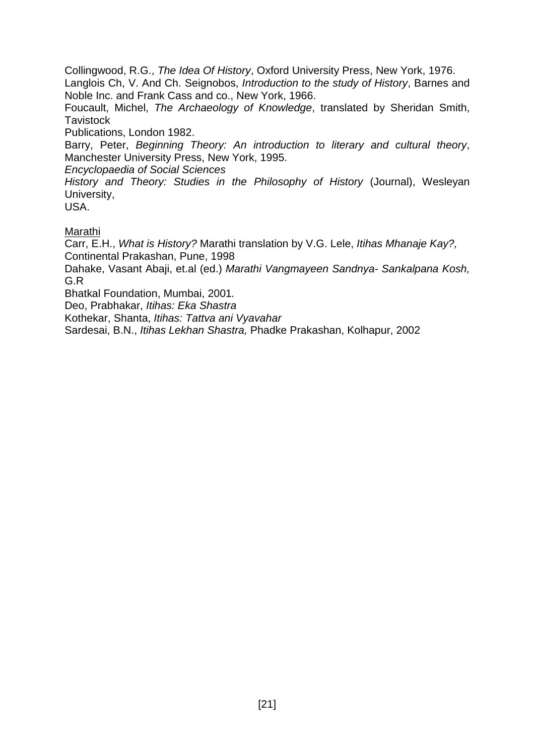Collingwood, R.G., The Idea Of History, Oxford University Press, New York, 1976. Langlois Ch, V. And Ch. Seignobos, Introduction to the study of History, Barnes and Noble Inc. and Frank Cass and co., New York, 1966.

Foucault, Michel, The Archaeology of Knowledge, translated by Sheridan Smith, **Tavistock** 

Publications, London 1982.

Barry, Peter, Beginning Theory: An introduction to literary and cultural theory, Manchester University Press, New York, 1995.

Encyclopaedia of Social Sciences

History and Theory: Studies in the Philosophy of History (Journal), Wesleyan University,

USA.

Marathi

Carr, E.H., What is History? Marathi translation by V.G. Lele, Itihas Mhanaje Kay?, Continental Prakashan, Pune, 1998

Dahake, Vasant Abaji, et.al (ed.) Marathi Vangmayeen Sandnya- Sankalpana Kosh, G.R

Bhatkal Foundation, Mumbai, 2001.

Deo, Prabhakar, Itihas: Eka Shastra

Kothekar, Shanta, Itihas: Tattva ani Vyavahar

Sardesai, B.N., Itihas Lekhan Shastra, Phadke Prakashan, Kolhapur, 2002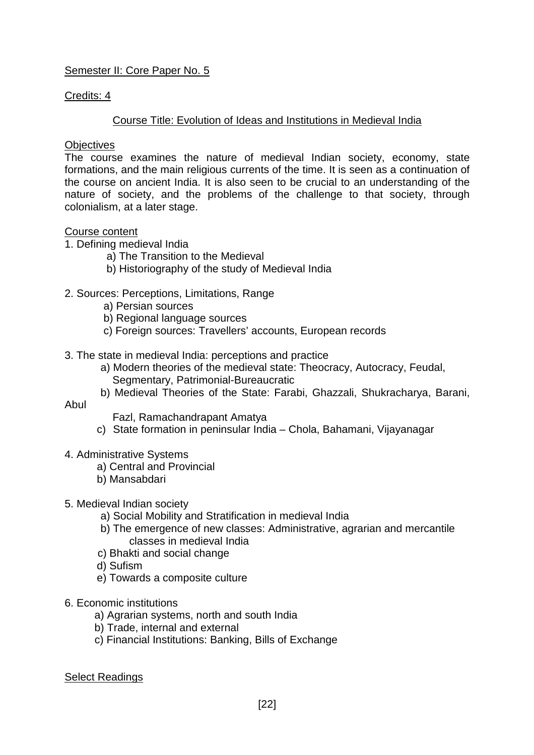# Semester II: Core Paper No. 5

# Credits: 4

# Course Title: Evolution of Ideas and Institutions in Medieval India

## **Objectives**

The course examines the nature of medieval Indian society, economy, state formations, and the main religious currents of the time. It is seen as a continuation of the course on ancient India. It is also seen to be crucial to an understanding of the nature of society, and the problems of the challenge to that society, through colonialism, at a later stage.

# Course content

- 1. Defining medieval India
	- a) The Transition to the Medieval
	- b) Historiography of the study of Medieval India

# 2. Sources: Perceptions, Limitations, Range

- a) Persian sources
- b) Regional language sources
- c) Foreign sources: Travellers' accounts, European records
- 3. The state in medieval India: perceptions and practice
	- a) Modern theories of the medieval state: Theocracy, Autocracy, Feudal, Segmentary, Patrimonial-Bureaucratic
	- b) Medieval Theories of the State: Farabi, Ghazzali, Shukracharya, Barani,

### Abul

Fazl, Ramachandrapant Amatya

- c) State formation in peninsular India Chola, Bahamani, Vijayanagar
- 4. Administrative Systems
	- a) Central and Provincial
	- b) Mansabdari
- 5. Medieval Indian society
	- a) Social Mobility and Stratification in medieval India
	- b) The emergence of new classes: Administrative, agrarian and mercantile classes in medieval India
	- c) Bhakti and social change
	- d) Sufism
	- e) Towards a composite culture
- 6. Economic institutions
	- a) Agrarian systems, north and south India
	- b) Trade, internal and external
	- c) Financial Institutions: Banking, Bills of Exchange
- Select Readings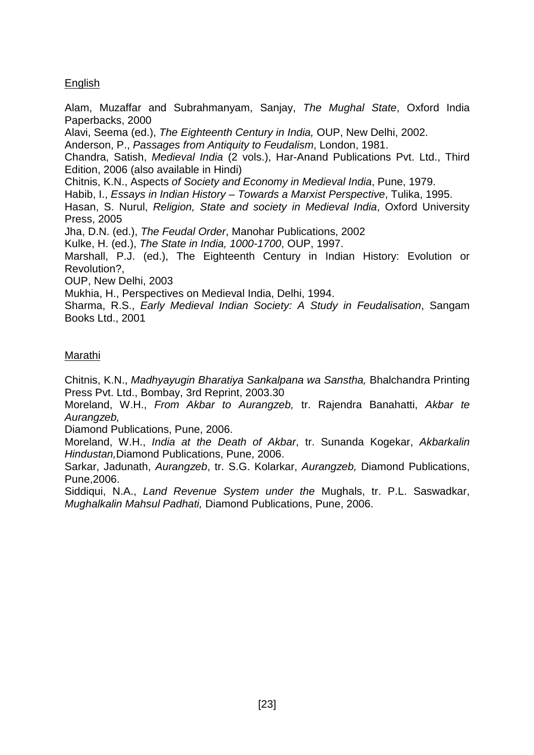# **English**

Alam, Muzaffar and Subrahmanyam, Sanjay, The Mughal State, Oxford India Paperbacks, 2000

Alavi, Seema (ed.), The Eighteenth Century in India, OUP, New Delhi, 2002.

Anderson, P., Passages from Antiquity to Feudalism, London, 1981.

Chandra, Satish, Medieval India (2 vols.), Har-Anand Publications Pvt. Ltd., Third Edition, 2006 (also available in Hindi)

Chitnis, K.N., Aspects of Society and Economy in Medieval India, Pune, 1979.

Habib, I., Essays in Indian History – Towards a Marxist Perspective, Tulika, 1995.

Hasan, S. Nurul, Religion, State and society in Medieval India, Oxford University Press, 2005

Jha, D.N. (ed.), The Feudal Order, Manohar Publications, 2002

Kulke, H. (ed.), The State in India, 1000-1700, OUP, 1997.

Marshall, P.J. (ed.), The Eighteenth Century in Indian History: Evolution or Revolution?,

OUP, New Delhi, 2003

Mukhia, H., Perspectives on Medieval India, Delhi, 1994.

Sharma, R.S., Early Medieval Indian Society: A Study in Feudalisation, Sangam Books Ltd., 2001

### Marathi

Chitnis, K.N., Madhyayugin Bharatiya Sankalpana wa Sanstha, Bhalchandra Printing Press Pvt. Ltd., Bombay, 3rd Reprint, 2003.30

Moreland, W.H., From Akbar to Aurangzeb, tr. Rajendra Banahatti, Akbar te Aurangzeb,

Diamond Publications, Pune, 2006.

Moreland, W.H., India at the Death of Akbar, tr. Sunanda Kogekar, Akbarkalin Hindustan,Diamond Publications, Pune, 2006.

Sarkar, Jadunath, Aurangzeb, tr. S.G. Kolarkar, Aurangzeb, Diamond Publications, Pune,2006.

Siddiqui, N.A., Land Revenue System under the Mughals, tr. P.L. Saswadkar, Mughalkalin Mahsul Padhati, Diamond Publications, Pune, 2006.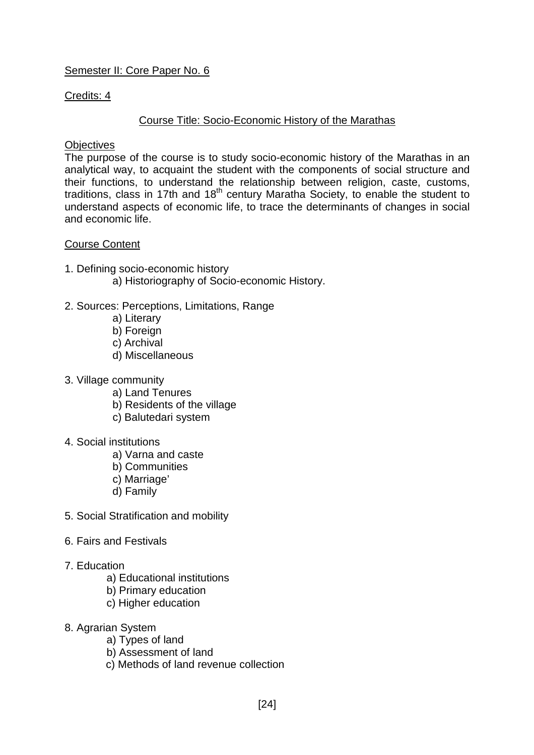# Semester II: Core Paper No. 6

#### Credits: 4

### Course Title: Socio-Economic History of the Marathas

#### **Objectives**

The purpose of the course is to study socio-economic history of the Marathas in an analytical way, to acquaint the student with the components of social structure and their functions, to understand the relationship between religion, caste, customs, traditions, class in 17th and 18<sup>th</sup> century Maratha Society, to enable the student to understand aspects of economic life, to trace the determinants of changes in social and economic life.

#### Course Content

- 1. Defining socio-economic history a) Historiography of Socio-economic History.
- 2. Sources: Perceptions, Limitations, Range
	- a) Literary
	- b) Foreign
	- c) Archival
	- d) Miscellaneous
- 3. Village community
	- a) Land Tenures
	- b) Residents of the village
	- c) Balutedari system
- 4. Social institutions
	- a) Varna and caste
	- b) Communities
	- c) Marriage'
	- d) Family
- 5. Social Stratification and mobility
- 6. Fairs and Festivals
- 7. Education
	- a) Educational institutions
	- b) Primary education
	- c) Higher education
- 8. Agrarian System
	- a) Types of land
	- b) Assessment of land
	- c) Methods of land revenue collection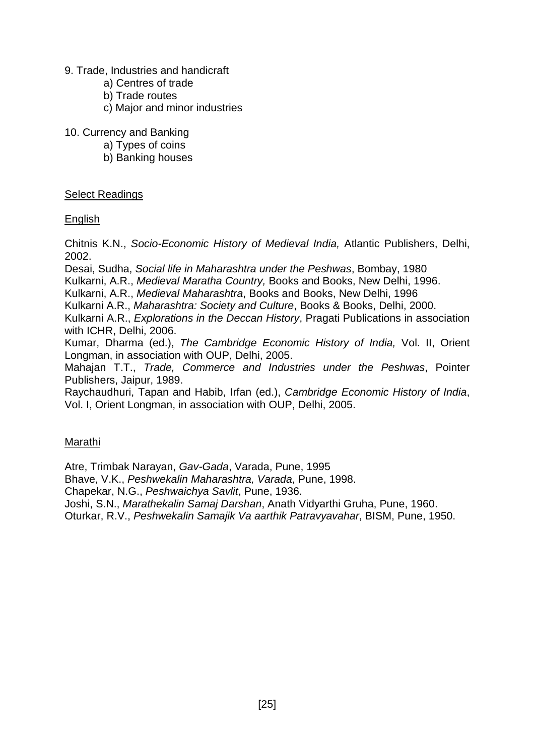# 9. Trade, Industries and handicraft

- a) Centres of trade
- b) Trade routes
- c) Major and minor industries
- 10. Currency and Banking
	- a) Types of coins
	- b) Banking houses

### Select Readings

# **English**

Chitnis K.N., Socio-Economic History of Medieval India, Atlantic Publishers, Delhi, 2002.

Desai, Sudha, Social life in Maharashtra under the Peshwas, Bombay, 1980

Kulkarni, A.R., Medieval Maratha Country, Books and Books, New Delhi, 1996.

Kulkarni, A.R., Medieval Maharashtra, Books and Books, New Delhi, 1996

Kulkarni A.R., Maharashtra: Society and Culture, Books & Books, Delhi, 2000.

Kulkarni A.R., Explorations in the Deccan History, Pragati Publications in association with ICHR, Delhi, 2006.

Kumar, Dharma (ed.), The Cambridge Economic History of India, Vol. II, Orient Longman, in association with OUP, Delhi, 2005.

Mahajan T.T., Trade, Commerce and Industries under the Peshwas, Pointer Publishers, Jaipur, 1989.

Raychaudhuri, Tapan and Habib, Irfan (ed.), Cambridge Economic History of India, Vol. I, Orient Longman, in association with OUP, Delhi, 2005.

# Marathi

Atre, Trimbak Narayan, Gav-Gada, Varada, Pune, 1995

Bhave, V.K., Peshwekalin Maharashtra, Varada, Pune, 1998.

Chapekar, N.G., Peshwaichya Savlit, Pune, 1936.

Joshi, S.N., Marathekalin Samaj Darshan, Anath Vidyarthi Gruha, Pune, 1960. Oturkar, R.V., Peshwekalin Samajik Va aarthik Patravyavahar, BISM, Pune, 1950.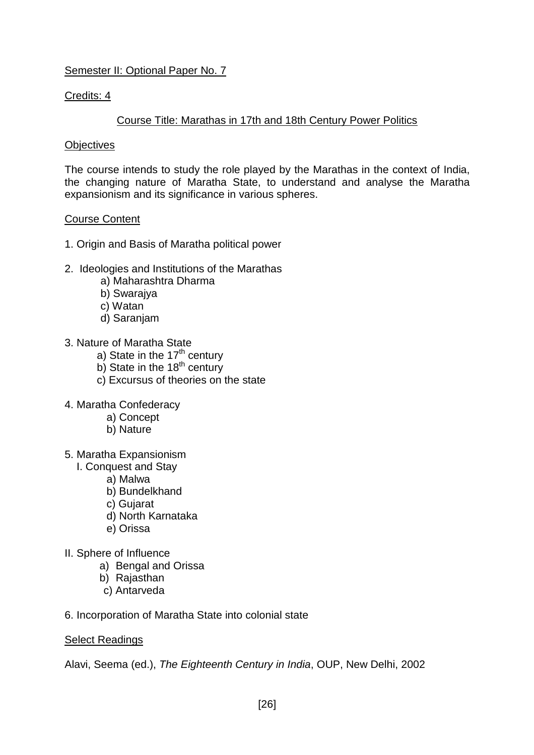# Semester II: Optional Paper No. 7

# Credits: 4

# Course Title: Marathas in 17th and 18th Century Power Politics

# **Objectives**

The course intends to study the role played by the Marathas in the context of India, the changing nature of Maratha State, to understand and analyse the Maratha expansionism and its significance in various spheres.

# Course Content

- 1. Origin and Basis of Maratha political power
- 2. Ideologies and Institutions of the Marathas
	- a) Maharashtra Dharma
	- b) Swarajya
	- c) Watan
	- d) Saranjam
- 3. Nature of Maratha State
	- a) State in the  $17<sup>th</sup>$  century
	- b) State in the  $18<sup>th</sup>$  century
	- c) Excursus of theories on the state
- 4. Maratha Confederacy
	- a) Concept
	- b) Nature
- 5. Maratha Expansionism
	- I. Conquest and Stay
		- a) Malwa
		- b) Bundelkhand
		- c) Gujarat
		- d) North Karnataka
		- e) Orissa
- II. Sphere of Influence
	- a) Bengal and Orissa
	- b) Rajasthan
	- c) Antarveda
- 6. Incorporation of Maratha State into colonial state
- Select Readings

Alavi, Seema (ed.), The Eighteenth Century in India, OUP, New Delhi, 2002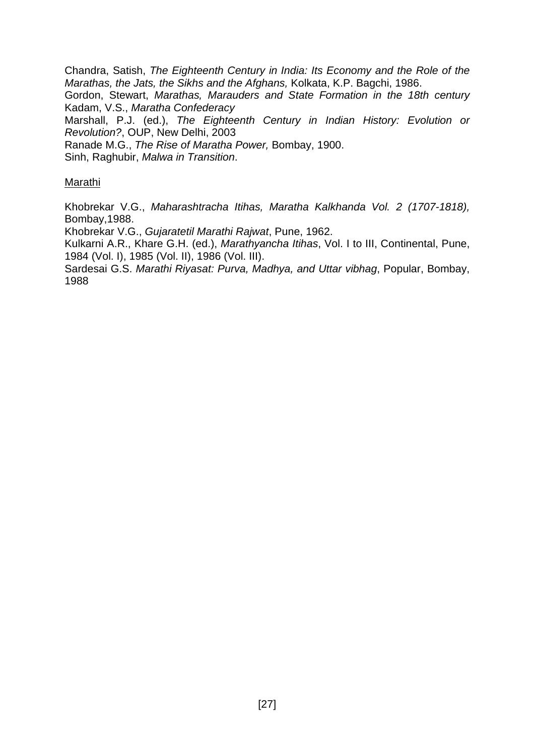Chandra, Satish, The Eighteenth Century in India: Its Economy and the Role of the Marathas, the Jats, the Sikhs and the Afghans, Kolkata, K.P. Bagchi, 1986.

Gordon, Stewart, Marathas, Marauders and State Formation in the 18th century Kadam, V.S., Maratha Confederacy

Marshall, P.J. (ed.), The Eighteenth Century in Indian History: Evolution or Revolution?, OUP, New Delhi, 2003

Ranade M.G., The Rise of Maratha Power, Bombay, 1900.

Sinh, Raghubir, Malwa in Transition.

### Marathi

Khobrekar V.G., Maharashtracha Itihas, Maratha Kalkhanda Vol. 2 (1707-1818), Bombay,1988.

Khobrekar V.G., Gujaratetil Marathi Rajwat, Pune, 1962.

Kulkarni A.R., Khare G.H. (ed.), Marathyancha Itihas, Vol. I to III, Continental, Pune, 1984 (Vol. I), 1985 (Vol. II), 1986 (Vol. III).

Sardesai G.S. Marathi Riyasat: Purva, Madhya, and Uttar vibhag, Popular, Bombay, 1988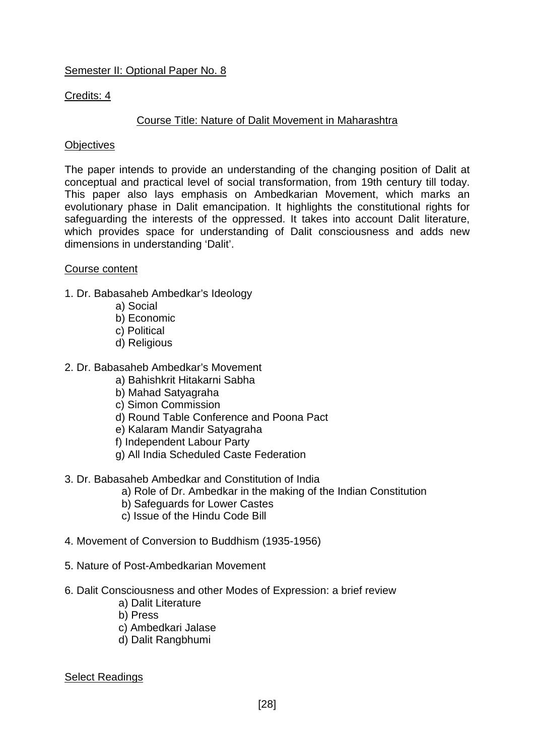# Semester II: Optional Paper No. 8

### Credits: 4

# Course Title: Nature of Dalit Movement in Maharashtra

### **Objectives**

The paper intends to provide an understanding of the changing position of Dalit at conceptual and practical level of social transformation, from 19th century till today. This paper also lays emphasis on Ambedkarian Movement, which marks an evolutionary phase in Dalit emancipation. It highlights the constitutional rights for safeguarding the interests of the oppressed. It takes into account Dalit literature, which provides space for understanding of Dalit consciousness and adds new dimensions in understanding 'Dalit'.

#### Course content

- 1. Dr. Babasaheb Ambedkar's Ideology
	- a) Social
	- b) Economic
	- c) Political
	- d) Religious
- 2. Dr. Babasaheb Ambedkar's Movement
	- a) Bahishkrit Hitakarni Sabha
	- b) Mahad Satyagraha
	- c) Simon Commission
	- d) Round Table Conference and Poona Pact
	- e) Kalaram Mandir Satyagraha
	- f) Independent Labour Party
	- g) All India Scheduled Caste Federation
- 3. Dr. Babasaheb Ambedkar and Constitution of India
	- a) Role of Dr. Ambedkar in the making of the Indian Constitution
	- b) Safeguards for Lower Castes
	- c) Issue of the Hindu Code Bill
- 4. Movement of Conversion to Buddhism (1935-1956)
- 5. Nature of Post-Ambedkarian Movement
- 6. Dalit Consciousness and other Modes of Expression: a brief review
	- a) Dalit Literature
	- b) Press
	- c) Ambedkari Jalase
	- d) Dalit Rangbhumi

Select Readings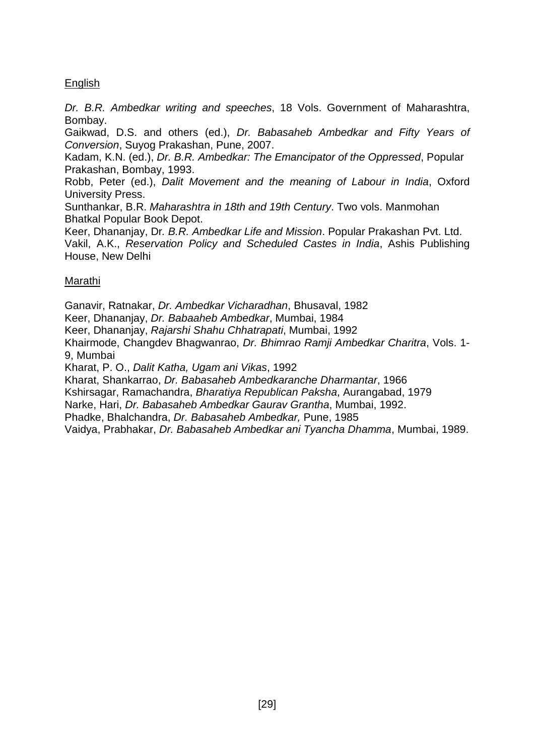# **English**

Dr. B.R. Ambedkar writing and speeches, 18 Vols. Government of Maharashtra, Bombay.

Gaikwad, D.S. and others (ed.), Dr. Babasaheb Ambedkar and Fifty Years of Conversion, Suyog Prakashan, Pune, 2007.

Kadam, K.N. (ed.), Dr. B.R. Ambedkar: The Emancipator of the Oppressed, Popular Prakashan, Bombay, 1993.

Robb, Peter (ed.), Dalit Movement and the meaning of Labour in India, Oxford University Press.

Sunthankar, B.R. Maharashtra in 18th and 19th Century. Two vols. Manmohan Bhatkal Popular Book Depot.

Keer, Dhananjay, Dr. B.R. Ambedkar Life and Mission. Popular Prakashan Pvt. Ltd. Vakil, A.K., Reservation Policy and Scheduled Castes in India, Ashis Publishing House, New Delhi

# Marathi

Ganavir, Ratnakar, Dr. Ambedkar Vicharadhan, Bhusaval, 1982

Keer, Dhananjay, Dr. Babaaheb Ambedkar, Mumbai, 1984

Keer, Dhananjay, Rajarshi Shahu Chhatrapati, Mumbai, 1992

Khairmode, Changdev Bhagwanrao, Dr. Bhimrao Ramji Ambedkar Charitra, Vols. 1- 9, Mumbai

Kharat, P. O., Dalit Katha, Ugam ani Vikas, 1992

Kharat, Shankarrao, Dr. Babasaheb Ambedkaranche Dharmantar, 1966

Kshirsagar, Ramachandra, Bharatiya Republican Paksha, Aurangabad, 1979

Narke, Hari, Dr. Babasaheb Ambedkar Gaurav Grantha, Mumbai, 1992.

Phadke, Bhalchandra, Dr. Babasaheb Ambedkar, Pune, 1985

Vaidya, Prabhakar, Dr. Babasaheb Ambedkar ani Tyancha Dhamma, Mumbai, 1989.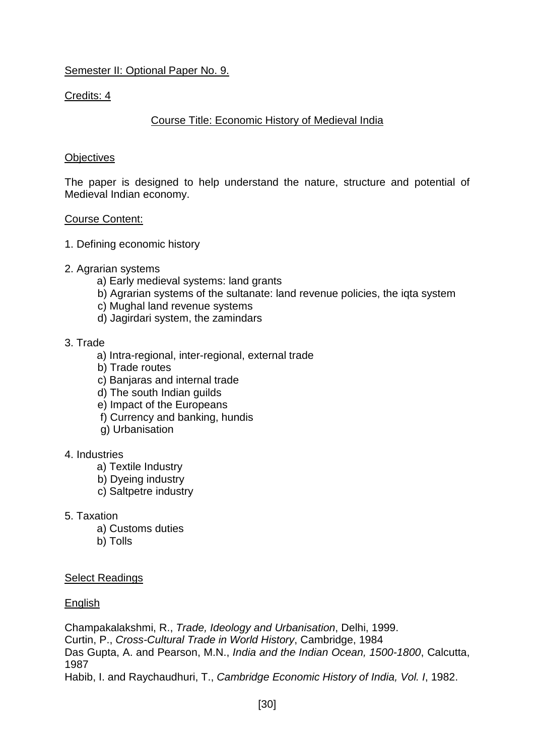# Semester II: Optional Paper No. 9.

## Credits: 4

# Course Title: Economic History of Medieval India

#### **Objectives**

The paper is designed to help understand the nature, structure and potential of Medieval Indian economy.

#### Course Content:

- 1. Defining economic history
- 2. Agrarian systems
	- a) Early medieval systems: land grants
	- b) Agrarian systems of the sultanate: land revenue policies, the iqta system
	- c) Mughal land revenue systems
	- d) Jagirdari system, the zamindars
- 3. Trade
	- a) Intra-regional, inter-regional, external trade
	- b) Trade routes
	- c) Banjaras and internal trade
	- d) The south Indian guilds
	- e) Impact of the Europeans
	- f) Currency and banking, hundis
	- g) Urbanisation

#### 4. Industries

- a) Textile Industry
- b) Dyeing industry
- c) Saltpetre industry
- 5. Taxation
	- a) Customs duties
	- b) Tolls

### Select Readings

#### English

Champakalakshmi, R., Trade, Ideology and Urbanisation, Delhi, 1999. Curtin, P., Cross-Cultural Trade in World History, Cambridge, 1984 Das Gupta, A. and Pearson, M.N., India and the Indian Ocean, 1500-1800, Calcutta, 1987 Habib, I. and Raychaudhuri, T., Cambridge Economic History of India, Vol. I, 1982.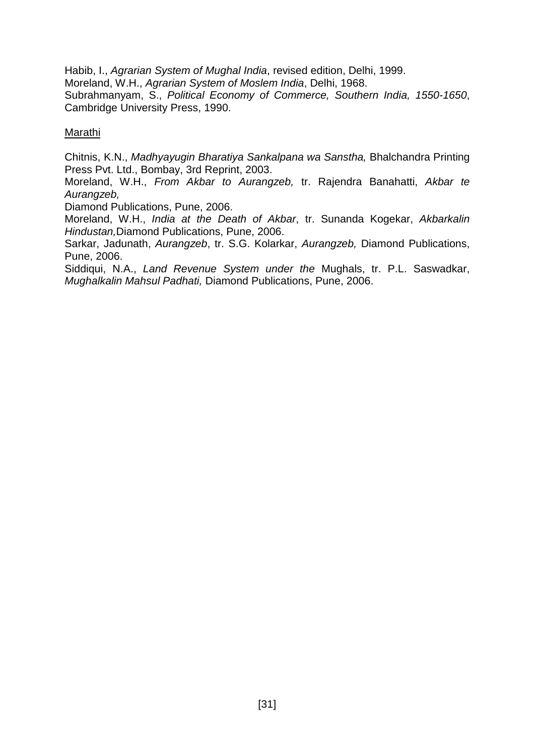Habib, I., Agrarian System of Mughal India, revised edition, Delhi, 1999. Moreland, W.H., Agrarian System of Moslem India, Delhi, 1968. Subrahmanyam, S., Political Economy of Commerce, Southern India, 1550-1650, Cambridge University Press, 1990.

## Marathi

Chitnis, K.N., Madhyayugin Bharatiya Sankalpana wa Sanstha, Bhalchandra Printing Press Pvt. Ltd., Bombay, 3rd Reprint, 2003.

Moreland, W.H., From Akbar to Aurangzeb, tr. Rajendra Banahatti, Akbar te Aurangzeb,

Diamond Publications, Pune, 2006.

Moreland, W.H., India at the Death of Akbar, tr. Sunanda Kogekar, Akbarkalin Hindustan,Diamond Publications, Pune, 2006.

Sarkar, Jadunath, Aurangzeb, tr. S.G. Kolarkar, Aurangzeb, Diamond Publications, Pune, 2006.

Siddiqui, N.A., Land Revenue System under the Mughals, tr. P.L. Saswadkar, Mughalkalin Mahsul Padhati, Diamond Publications, Pune, 2006.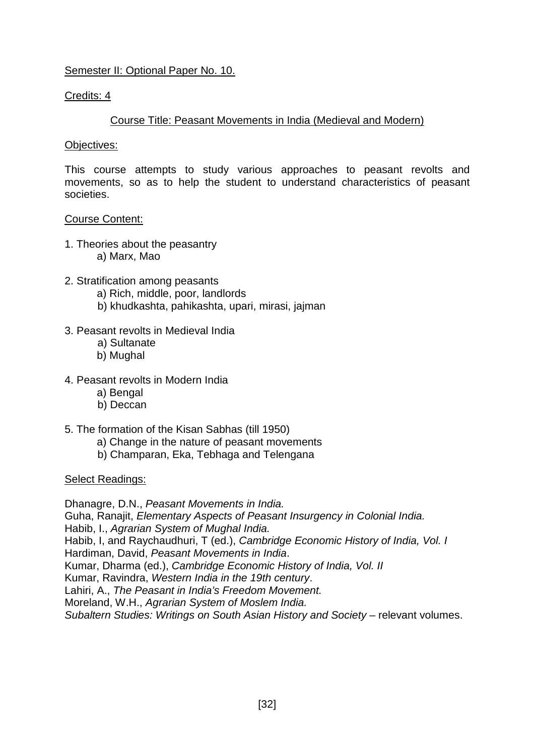# Semester II: Optional Paper No. 10.

### Credits: 4

# Course Title: Peasant Movements in India (Medieval and Modern)

## Objectives:

This course attempts to study various approaches to peasant revolts and movements, so as to help the student to understand characteristics of peasant societies.

# Course Content:

- 1. Theories about the peasantry a) Marx, Mao
- 2. Stratification among peasants
	- a) Rich, middle, poor, landlords
	- b) khudkashta, pahikashta, upari, mirasi, jajman
- 3. Peasant revolts in Medieval India
	- a) Sultanate
	- b) Mughal
- 4. Peasant revolts in Modern India
	- a) Bengal
	- b) Deccan
- 5. The formation of the Kisan Sabhas (till 1950)
	- a) Change in the nature of peasant movements
	- b) Champaran, Eka, Tebhaga and Telengana

### Select Readings:

Dhanagre, D.N., Peasant Movements in India. Guha, Ranajit, Elementary Aspects of Peasant Insurgency in Colonial India. Habib, I., Agrarian System of Mughal India. Habib, I, and Raychaudhuri, T (ed.), Cambridge Economic History of India, Vol. I Hardiman, David, Peasant Movements in India. Kumar, Dharma (ed.), Cambridge Economic History of India, Vol. II Kumar, Ravindra, Western India in the 19th century. Lahiri, A., The Peasant in India's Freedom Movement. Moreland, W.H., Agrarian System of Moslem India. Subaltern Studies: Writings on South Asian History and Society – relevant volumes.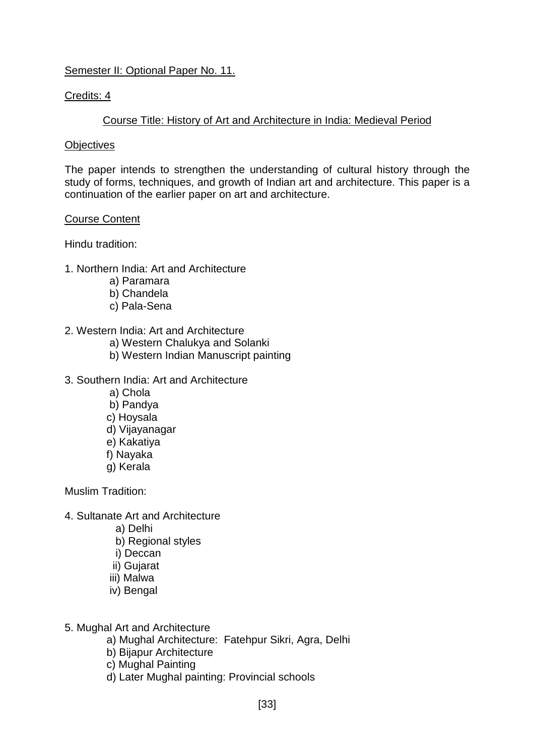# Semester II: Optional Paper No. 11.

### Credits: 4

# Course Title: History of Art and Architecture in India: Medieval Period

#### **Objectives**

The paper intends to strengthen the understanding of cultural history through the study of forms, techniques, and growth of Indian art and architecture. This paper is a continuation of the earlier paper on art and architecture.

#### Course Content

Hindu tradition:

- 1. Northern India: Art and Architecture
	- a) Paramara
	- b) Chandela
	- c) Pala-Sena
- 2. Western India: Art and Architecture
	- a) Western Chalukya and Solanki
	- b) Western Indian Manuscript painting
- 3. Southern India: Art and Architecture
	- a) Chola
	- b) Pandya
	- c) Hoysala
	- d) Vijayanagar
	- e) Kakatiya
	- f) Nayaka
	- g) Kerala

Muslim Tradition:

- 4. Sultanate Art and Architecture
	- a) Delhi
	- b) Regional styles
	- i) Deccan
	- ii) Gujarat
	- iii) Malwa
	- iv) Bengal
- 5. Mughal Art and Architecture
	- a) Mughal Architecture: Fatehpur Sikri, Agra, Delhi
	- b) Bijapur Architecture
	- c) Mughal Painting
	- d) Later Mughal painting: Provincial schools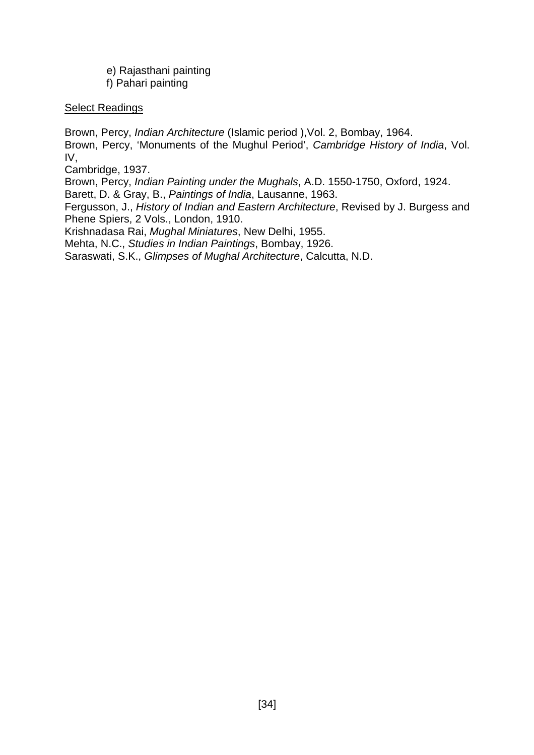e) Rajasthani painting f) Pahari painting

### **Select Readings**

Brown, Percy, Indian Architecture (Islamic period ),Vol. 2, Bombay, 1964. Brown, Percy, 'Monuments of the Mughul Period', Cambridge History of India, Vol. IV,

Cambridge, 1937.

Brown, Percy, Indian Painting under the Mughals, A.D. 1550-1750, Oxford, 1924.

Barett, D. & Gray, B., Paintings of India, Lausanne, 1963.

Fergusson, J., History of Indian and Eastern Architecture, Revised by J. Burgess and Phene Spiers, 2 Vols., London, 1910.

Krishnadasa Rai, Mughal Miniatures, New Delhi, 1955.

Mehta, N.C., Studies in Indian Paintings, Bombay, 1926.

Saraswati, S.K., Glimpses of Mughal Architecture, Calcutta, N.D.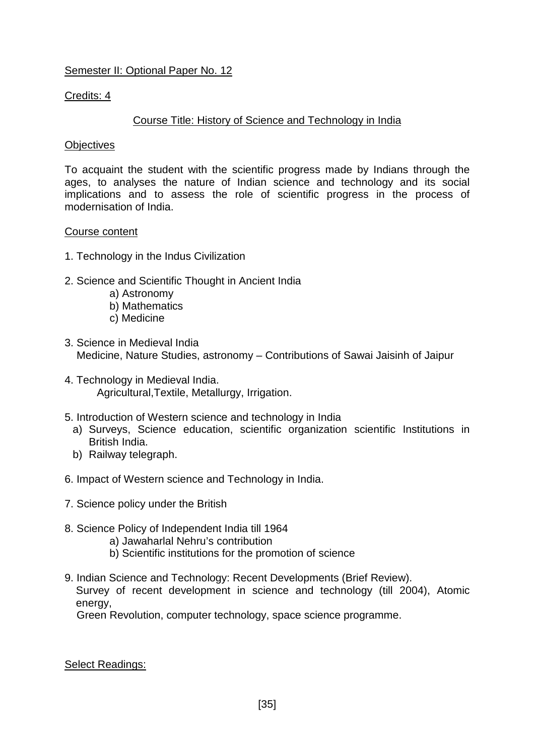# Semester II: Optional Paper No. 12

### Credits: 4

# Course Title: History of Science and Technology in India

## **Objectives**

To acquaint the student with the scientific progress made by Indians through the ages, to analyses the nature of Indian science and technology and its social implications and to assess the role of scientific progress in the process of modernisation of India.

### Course content

- 1. Technology in the Indus Civilization
- 2. Science and Scientific Thought in Ancient India
	- a) Astronomy
	- b) Mathematics
	- c) Medicine
- 3. Science in Medieval India Medicine, Nature Studies, astronomy – Contributions of Sawai Jaisinh of Jaipur
- 4. Technology in Medieval India. Agricultural,Textile, Metallurgy, Irrigation.
- 5. Introduction of Western science and technology in India
	- a) Surveys, Science education, scientific organization scientific Institutions in British India.
	- b) Railway telegraph.
- 6. Impact of Western science and Technology in India.
- 7. Science policy under the British
- 8. Science Policy of Independent India till 1964
	- a) Jawaharlal Nehru's contribution
	- b) Scientific institutions for the promotion of science
- 9. Indian Science and Technology: Recent Developments (Brief Review). Survey of recent development in science and technology (till 2004), Atomic energy,

Green Revolution, computer technology, space science programme.

Select Readings: